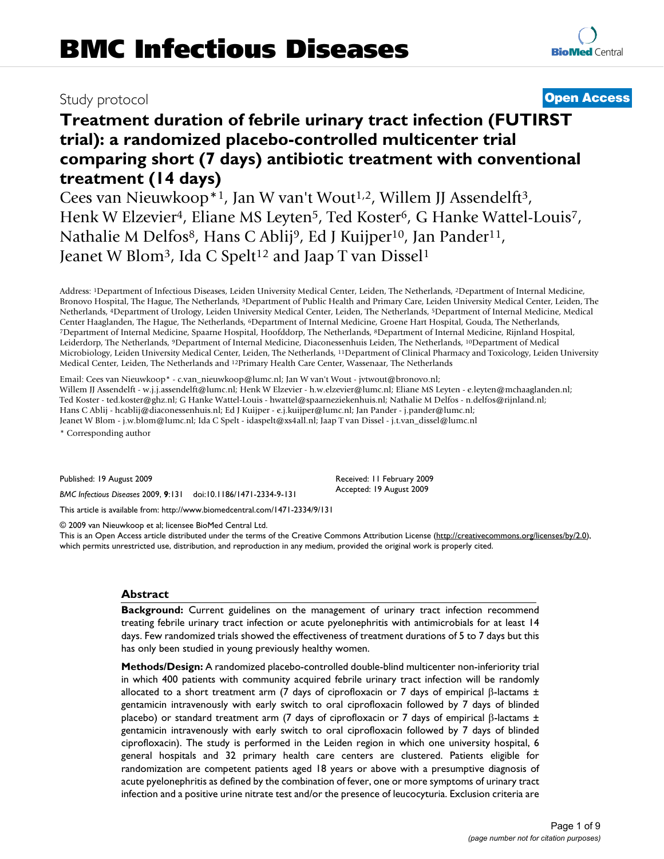## Study protocol **[Open Access](http://www.biomedcentral.com/info/about/charter/)**

# **Treatment duration of febrile urinary tract infection (FUTIRST trial): a randomized placebo-controlled multicenter trial comparing short (7 days) antibiotic treatment with conventional**

**treatment (14 days)** Cees van Nieuwkoop<sup>\*1</sup>, Jan W van't Wout<sup>1,2</sup>, Willem JJ Assendelft<sup>3</sup>, Henk W Elzevier<sup>4</sup>, Eliane MS Leyten<sup>5</sup>, Ted Koster<sup>6</sup>, G Hanke Wattel-Louis<sup>7</sup>, Nathalie M Delfos<sup>8</sup>, Hans C Ablij<sup>9</sup>, Ed J Kuijper<sup>10</sup>, Jan Pander<sup>11</sup>, Jeanet W Blom<sup>3</sup>, Ida C Spelt<sup>12</sup> and Jaap T van Dissel<sup>1</sup>

Address: 1Department of Infectious Diseases, Leiden University Medical Center, Leiden, The Netherlands, 2Department of Internal Medicine, Bronovo Hospital, The Hague, The Netherlands, 3Department of Public Health and Primary Care, Leiden University Medical Center, Leiden, The Netherlands, 4Department of Urology, Leiden University Medical Center, Leiden, The Netherlands, 5Department of Internal Medicine, Medical Center Haaglanden, The Hague, The Netherlands, <sup>6</sup>Department of Internal Medicine, Groene Hart Hospital, Gouda, The Netherlands,<br><sup>7</sup>Department of Internal Medicine, Spaarne Hospital, Hoofddorp, The Netherlands, <sup>8</sup>Departme Leiderdorp, The Netherlands, 9Department of Internal Medicine, Diaconessenhuis Leiden, The Netherlands, 10Department of Medical Microbiology, Leiden University Medical Center, Leiden, The Netherlands, 11Department of Clinical Pharmacy and Toxicology, Leiden University Medical Center, Leiden, The Netherlands and 12Primary Health Care Center, Wassenaar, The Netherlands

Email: Cees van Nieuwkoop\* - c.van\_nieuwkoop@lumc.nl; Jan W van't Wout - jvtwout@bronovo.nl; Willem JJ Assendelft - w.j.j.assendelft@lumc.nl; Henk W Elzevier - h.w.elzevier@lumc.nl; Eliane MS Leyten - e.leyten@mchaaglanden.nl; Ted Koster - ted.koster@ghz.nl; G Hanke Wattel-Louis - hwattel@spaarneziekenhuis.nl; Nathalie M Delfos - n.delfos@rijnland.nl; Hans C Ablij - hcablij@diaconessenhuis.nl; Ed J Kuijper - e.j.kuijper@lumc.nl; Jan Pander - j.pander@lumc.nl; Jeanet W Blom - j.w.blom@lumc.nl; Ida C Spelt - idaspelt@xs4all.nl; Jaap T van Dissel - j.t.van\_dissel@lumc.nl

\* Corresponding author

Published: 19 August 2009

*BMC Infectious Diseases* 2009, **9**:131 doi:10.1186/1471-2334-9-131

[This article is available from: http://www.biomedcentral.com/1471-2334/9/131](http://www.biomedcentral.com/1471-2334/9/131)

© 2009 van Nieuwkoop et al; licensee BioMed Central Ltd.

This is an Open Access article distributed under the terms of the Creative Commons Attribution License [\(http://creativecommons.org/licenses/by/2.0\)](http://creativecommons.org/licenses/by/2.0), which permits unrestricted use, distribution, and reproduction in any medium, provided the original work is properly cited.

Received: 11 February 2009 Accepted: 19 August 2009

#### **Abstract**

**Background:** Current guidelines on the management of urinary tract infection recommend treating febrile urinary tract infection or acute pyelonephritis with antimicrobials for at least 14 days. Few randomized trials showed the effectiveness of treatment durations of 5 to 7 days but this has only been studied in young previously healthy women.

**Methods/Design:** A randomized placebo-controlled double-blind multicenter non-inferiority trial in which 400 patients with community acquired febrile urinary tract infection will be randomly allocated to a short treatment arm (7 days of ciprofloxacin or 7 days of empirical β-lactams  $±$ gentamicin intravenously with early switch to oral ciprofloxacin followed by 7 days of blinded placebo) or standard treatment arm (7 days of ciprofloxacin or 7 days of empirical β-lactams  $±$ gentamicin intravenously with early switch to oral ciprofloxacin followed by 7 days of blinded ciprofloxacin). The study is performed in the Leiden region in which one university hospital, 6 general hospitals and 32 primary health care centers are clustered. Patients eligible for randomization are competent patients aged 18 years or above with a presumptive diagnosis of acute pyelonephritis as defined by the combination of fever, one or more symptoms of urinary tract infection and a positive urine nitrate test and/or the presence of leucocyturia. Exclusion criteria are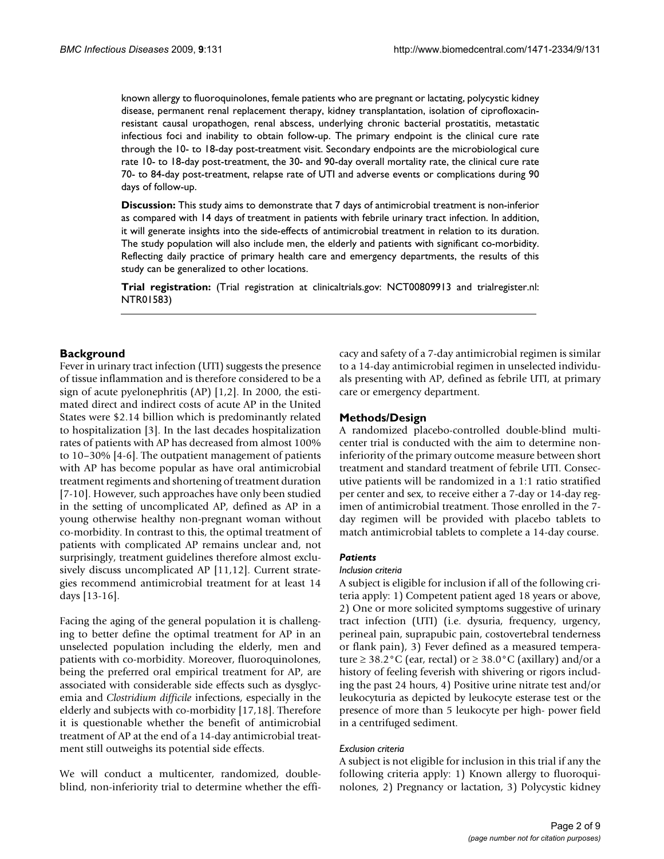known allergy to fluoroquinolones, female patients who are pregnant or lactating, polycystic kidney disease, permanent renal replacement therapy, kidney transplantation, isolation of ciprofloxacinresistant causal uropathogen, renal abscess, underlying chronic bacterial prostatitis, metastatic infectious foci and inability to obtain follow-up. The primary endpoint is the clinical cure rate through the 10- to 18-day post-treatment visit. Secondary endpoints are the microbiological cure rate 10- to 18-day post-treatment, the 30- and 90-day overall mortality rate, the clinical cure rate 70- to 84-day post-treatment, relapse rate of UTI and adverse events or complications during 90 days of follow-up.

**Discussion:** This study aims to demonstrate that 7 days of antimicrobial treatment is non-inferior as compared with 14 days of treatment in patients with febrile urinary tract infection. In addition, it will generate insights into the side-effects of antimicrobial treatment in relation to its duration. The study population will also include men, the elderly and patients with significant co-morbidity. Reflecting daily practice of primary health care and emergency departments, the results of this study can be generalized to other locations.

**Trial registration:** (Trial registration at clinicaltrials.gov: NCT00809913 and trialregister.nl: NTR01583)

#### **Background**

Fever in urinary tract infection (UTI) suggests the presence of tissue inflammation and is therefore considered to be a sign of acute pyelonephritis (AP) [1,2]. In 2000, the estimated direct and indirect costs of acute AP in the United States were \$2.14 billion which is predominantly related to hospitalization [3]. In the last decades hospitalization rates of patients with AP has decreased from almost 100% to 10–30% [4-6]. The outpatient management of patients with AP has become popular as have oral antimicrobial treatment regiments and shortening of treatment duration [7-10]. However, such approaches have only been studied in the setting of uncomplicated AP, defined as AP in a young otherwise healthy non-pregnant woman without co-morbidity. In contrast to this, the optimal treatment of patients with complicated AP remains unclear and, not surprisingly, treatment guidelines therefore almost exclusively discuss uncomplicated AP [11,12]. Current strategies recommend antimicrobial treatment for at least 14 days [13-[16\]](#page-8-0).

Facing the aging of the general population it is challenging to better define the optimal treatment for AP in an unselected population including the elderly, men and patients with co-morbidity. Moreover, fluoroquinolones, being the preferred oral empirical treatment for AP, are associated with considerable side effects such as dysglycemia and *Clostridium difficile* infections, especially in the elderly and subjects with co-morbidity [17,18]. Therefore it is questionable whether the benefit of antimicrobial treatment of AP at the end of a 14-day antimicrobial treatment still outweighs its potential side effects.

We will conduct a multicenter, randomized, doubleblind, non-inferiority trial to determine whether the efficacy and safety of a 7-day antimicrobial regimen is similar to a 14-day antimicrobial regimen in unselected individuals presenting with AP, defined as febrile UTI, at primary care or emergency department.

## **Methods/Design**

A randomized placebo-controlled double-blind multicenter trial is conducted with the aim to determine noninferiority of the primary outcome measure between short treatment and standard treatment of febrile UTI. Consecutive patients will be randomized in a 1:1 ratio stratified per center and sex, to receive either a 7-day or 14-day regimen of antimicrobial treatment. Those enrolled in the 7 day regimen will be provided with placebo tablets to match antimicrobial tablets to complete a 14-day course.

#### *Patients*

#### *Inclusion criteria*

A subject is eligible for inclusion if all of the following criteria apply: 1) Competent patient aged 18 years or above, 2) One or more solicited symptoms suggestive of urinary tract infection (UTI) (i.e. dysuria, frequency, urgency, perineal pain, suprapubic pain, costovertebral tenderness or flank pain), 3) Fever defined as a measured temperature  $\geq$  38.2°C (ear, rectal) or  $\geq$  38.0°C (axillary) and/or a history of feeling feverish with shivering or rigors including the past 24 hours, 4) Positive urine nitrate test and/or leukocyturia as depicted by leukocyte esterase test or the presence of more than 5 leukocyte per high- power field in a centrifuged sediment.

#### *Exclusion criteria*

A subject is not eligible for inclusion in this trial if any the following criteria apply: 1) Known allergy to fluoroquinolones, 2) Pregnancy or lactation, 3) Polycystic kidney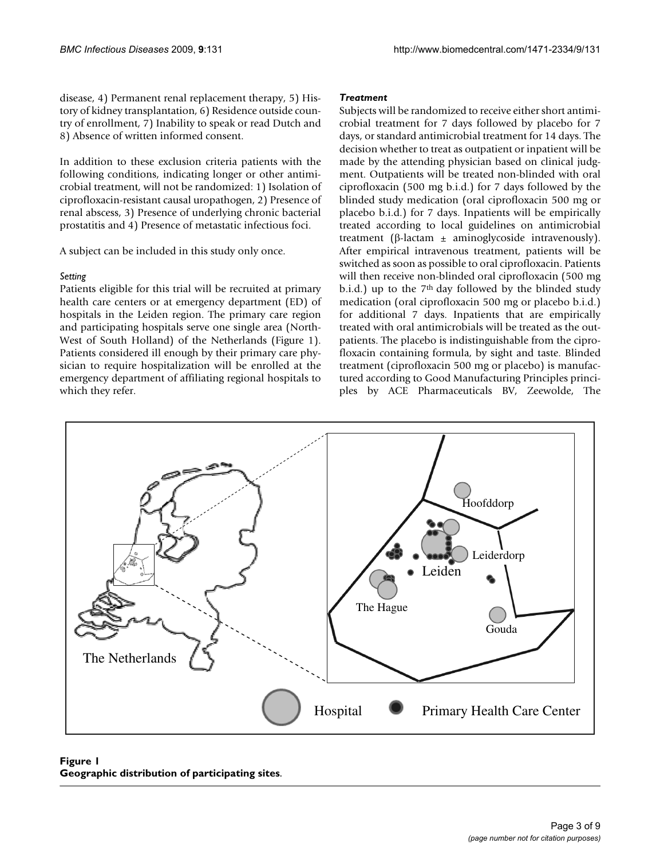disease, 4) Permanent renal replacement therapy, 5) History of kidney transplantation, 6) Residence outside country of enrollment, 7) Inability to speak or read Dutch and 8) Absence of written informed consent.

In addition to these exclusion criteria patients with the following conditions, indicating longer or other antimicrobial treatment, will not be randomized: 1) Isolation of ciprofloxacin-resistant causal uropathogen, 2) Presence of renal abscess, 3) Presence of underlying chronic bacterial prostatitis and 4) Presence of metastatic infectious foci.

A subject can be included in this study only once.

## *Setting*

Patients eligible for this trial will be recruited at primary health care centers or at emergency department (ED) of hospitals in the Leiden region. The primary care region and participating hospitals serve one single area (North-West of South Holland) of the Netherlands (Figure 1). Patients considered ill enough by their primary care physician to require hospitalization will be enrolled at the emergency department of affiliating regional hospitals to which they refer.

## *Treatment*

Subjects will be randomized to receive either short antimicrobial treatment for 7 days followed by placebo for 7 days, or standard antimicrobial treatment for 14 days. The decision whether to treat as outpatient or inpatient will be made by the attending physician based on clinical judgment. Outpatients will be treated non-blinded with oral ciprofloxacin (500 mg b.i.d.) for 7 days followed by the blinded study medication (oral ciprofloxacin 500 mg or placebo b.i.d.) for 7 days. Inpatients will be empirically treated according to local guidelines on antimicrobial treatment (β-lactam  $±$  aminoglycoside intravenously). After empirical intravenous treatment, patients will be switched as soon as possible to oral ciprofloxacin. Patients will then receive non-blinded oral ciprofloxacin (500 mg b.i.d.) up to the 7<sup>th</sup> day followed by the blinded study medication (oral ciprofloxacin 500 mg or placebo b.i.d.) for additional 7 days. Inpatients that are empirically treated with oral antimicrobials will be treated as the outpatients. The placebo is indistinguishable from the ciprofloxacin containing formula, by sight and taste. Blinded treatment (ciprofloxacin 500 mg or placebo) is manufactured according to Good Manufacturing Principles principles by ACE Pharmaceuticals BV, Zeewolde, The



## Figure 1 **Geographic distribution of participating sites**.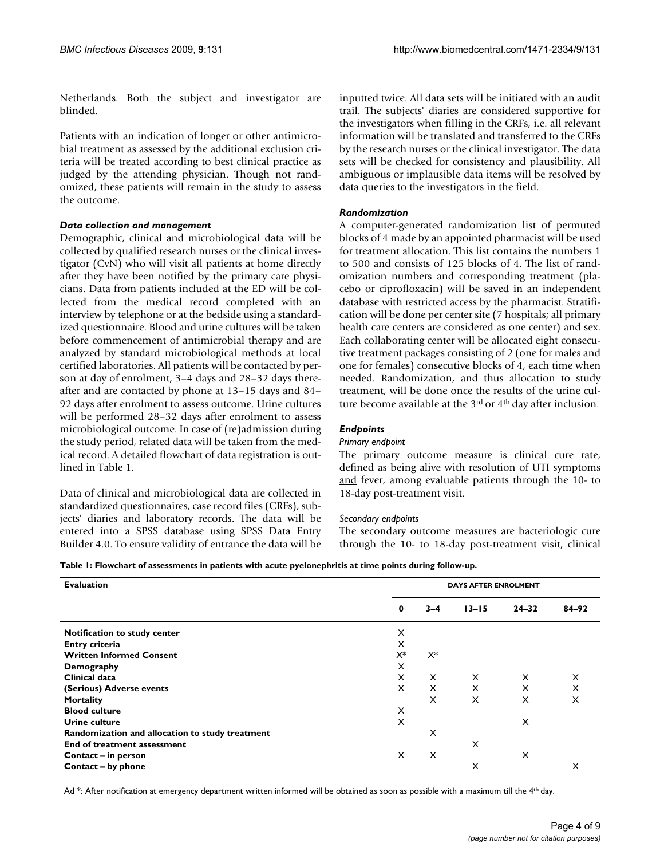Netherlands. Both the subject and investigator are blinded.

Patients with an indication of longer or other antimicrobial treatment as assessed by the additional exclusion criteria will be treated according to best clinical practice as judged by the attending physician. Though not randomized, these patients will remain in the study to assess the outcome.

#### *Data collection and management*

Demographic, clinical and microbiological data will be collected by qualified research nurses or the clinical investigator (CvN) who will visit all patients at home directly after they have been notified by the primary care physicians. Data from patients included at the ED will be collected from the medical record completed with an interview by telephone or at the bedside using a standardized questionnaire. Blood and urine cultures will be taken before commencement of antimicrobial therapy and are analyzed by standard microbiological methods at local certified laboratories. All patients will be contacted by person at day of enrolment, 3–4 days and 28–32 days thereafter and are contacted by phone at 13–15 days and 84– 92 days after enrolment to assess outcome. Urine cultures will be performed 28–32 days after enrolment to assess microbiological outcome. In case of (re)admission during the study period, related data will be taken from the medical record. A detailed flowchart of data registration is outlined in Table 1.

Data of clinical and microbiological data are collected in standardized questionnaires, case record files (CRFs), subjects' diaries and laboratory records. The data will be entered into a SPSS database using SPSS Data Entry Builder 4.0. To ensure validity of entrance the data will be inputted twice. All data sets will be initiated with an audit trail. The subjects' diaries are considered supportive for the investigators when filling in the CRFs, i.e. all relevant information will be translated and transferred to the CRFs by the research nurses or the clinical investigator. The data sets will be checked for consistency and plausibility. All ambiguous or implausible data items will be resolved by data queries to the investigators in the field.

## *Randomization*

A computer-generated randomization list of permuted blocks of 4 made by an appointed pharmacist will be used for treatment allocation. This list contains the numbers 1 to 500 and consists of 125 blocks of 4. The list of randomization numbers and corresponding treatment (placebo or ciprofloxacin) will be saved in an independent database with restricted access by the pharmacist. Stratification will be done per center site (7 hospitals; all primary health care centers are considered as one center) and sex. Each collaborating center will be allocated eight consecutive treatment packages consisting of 2 (one for males and one for females) consecutive blocks of 4, each time when needed. Randomization, and thus allocation to study treatment, will be done once the results of the urine culture become available at the 3<sup>rd</sup> or 4<sup>th</sup> day after inclusion.

## *Endpoints*

#### *Primary endpoint*

The primary outcome measure is clinical cure rate, defined as being alive with resolution of UTI symptoms and fever, among evaluable patients through the 10- to 18-day post-treatment visit.

#### *Secondary endpoints*

The secondary outcome measures are bacteriologic cure through the 10- to 18-day post-treatment visit, clinical

| <b>Evaluation</b>                               | <b>DAYS AFTER ENROLMENT</b> |          |           |           |           |
|-------------------------------------------------|-----------------------------|----------|-----------|-----------|-----------|
|                                                 | 0                           | $3 - 4$  | $13 - 15$ | $24 - 32$ | $84 - 92$ |
| Notification to study center                    | X                           |          |           |           |           |
| Entry criteria                                  | X                           |          |           |           |           |
| <b>Written Informed Consent</b>                 | X*                          | $X^*$    |           |           |           |
| Demography                                      | X                           |          |           |           |           |
| Clinical data                                   | $\times$                    | $\times$ | $\times$  | $\times$  | X         |
| (Serious) Adverse events                        | X                           | $\times$ | X         | X         | X         |
| Mortality                                       |                             | X        | X         | X         | X         |
| <b>Blood culture</b>                            | X                           |          |           |           |           |
| Urine culture                                   | X                           |          |           | X         |           |
| Randomization and allocation to study treatment |                             | X        |           |           |           |
| End of treatment assessment                     |                             |          | X         |           |           |
| Contact - in person                             | X                           | $\times$ |           | X         |           |
| Contact - by phone                              |                             |          | X         |           | X         |

Ad \*: After notification at emergency department written informed will be obtained as soon as possible with a maximum till the 4<sup>th</sup> day.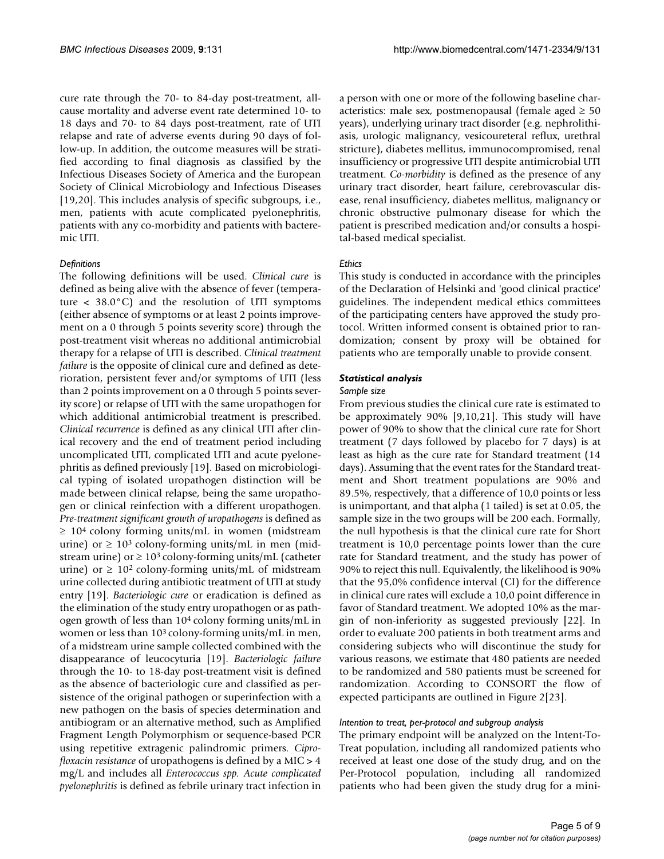cure rate through the 70- to 84-day post-treatment, allcause mortality and adverse event rate determined 10- to 18 days and 70- to 84 days post-treatment, rate of UTI relapse and rate of adverse events during 90 days of follow-up. In addition, the outcome measures will be stratified according to final diagnosis as classified by the Infectious Diseases Society of America and the European Society of Clinical Microbiology and Infectious Diseases [19,20]. This includes analysis of specific subgroups, i.e., men, patients with acute complicated pyelonephritis, patients with any co-morbidity and patients with bacteremic UTI.

#### *Definitions*

The following definitions will be used. *Clinical cure* is defined as being alive with the absence of fever (temperature  $\langle 38.0^{\circ}$ C) and the resolution of UTI symptoms (either absence of symptoms or at least 2 points improvement on a 0 through 5 points severity score) through the post-treatment visit whereas no additional antimicrobial therapy for a relapse of UTI is described. *Clinical treatment failure* is the opposite of clinical cure and defined as deterioration, persistent fever and/or symptoms of UTI (less than 2 points improvement on a 0 through 5 points severity score) or relapse of UTI with the same uropathogen for which additional antimicrobial treatment is prescribed. *Clinical recurrence* is defined as any clinical UTI after clinical recovery and the end of treatment period including uncomplicated UTI, complicated UTI and acute pyelonephritis as defined previously [19]. Based on microbiological typing of isolated uropathogen distinction will be made between clinical relapse, being the same uropathogen or clinical reinfection with a different uropathogen. *Pre-treatment significant growth of uropathogens* is defined as  $\geq 10^4$  colony forming units/mL in women (midstream urine) or  $\geq 10^3$  colony-forming units/mL in men (midstream urine) or  $\geq 10^3$  colony-forming units/mL (catheter urine) or  $\geq 10^2$  colony-forming units/mL of midstream urine collected during antibiotic treatment of UTI at study entry [19]. *Bacteriologic cure* or eradication is defined as the elimination of the study entry uropathogen or as pathogen growth of less than 104 colony forming units/mL in women or less than 103 colony-forming units/mL in men, of a midstream urine sample collected combined with the disappearance of leucocyturia [19]. *Bacteriologic failure* through the 10- to 18-day post-treatment visit is defined as the absence of bacteriologic cure and classified as persistence of the original pathogen or superinfection with a new pathogen on the basis of species determination and antibiogram or an alternative method, such as Amplified Fragment Length Polymorphism or sequence-based PCR using repetitive extragenic palindromic primers. *Ciprofloxacin resistance* of uropathogens is defined by a MIC > 4 mg/L and includes all *Enterococcus spp. Acute complicated pyelonephritis* is defined as febrile urinary tract infection in

a person with one or more of the following baseline characteristics: male sex, postmenopausal (female aged  $\geq 50$ years), underlying urinary tract disorder (e.g. nephrolithiasis, urologic malignancy, vesicoureteral reflux, urethral stricture), diabetes mellitus, immunocompromised, renal insufficiency or progressive UTI despite antimicrobial UTI treatment. *Co-morbidity* is defined as the presence of any urinary tract disorder, heart failure, cerebrovascular disease, renal insufficiency, diabetes mellitus, malignancy or chronic obstructive pulmonary disease for which the patient is prescribed medication and/or consults a hospital-based medical specialist.

#### *Ethics*

This study is conducted in accordance with the principles of the Declaration of Helsinki and 'good clinical practice' guidelines. The independent medical ethics committees of the participating centers have approved the study protocol. Written informed consent is obtained prior to randomization; consent by proxy will be obtained for patients who are temporally unable to provide consent.

## *Statistical analysis*

#### *Sample size*

From previous studies the clinical cure rate is estimated to be approximately 90% [9,10,21]. This study will have power of 90% to show that the clinical cure rate for Short treatment (7 days followed by placebo for 7 days) is at least as high as the cure rate for Standard treatment (14 days). Assuming that the event rates for the Standard treatment and Short treatment populations are 90% and 89.5%, respectively, that a difference of 10,0 points or less is unimportant, and that alpha (1 tailed) is set at 0.05, the sample size in the two groups will be 200 each. Formally, the null hypothesis is that the clinical cure rate for Short treatment is 10,0 percentage points lower than the cure rate for Standard treatment, and the study has power of 90% to reject this null. Equivalently, the likelihood is 90% that the 95,0% confidence interval (CI) for the difference in clinical cure rates will exclude a 10,0 point difference in favor of Standard treatment. We adopted 10% as the margin of non-inferiority as suggested previously [22]. In order to evaluate 200 patients in both treatment arms and considering subjects who will discontinue the study for various reasons, we estimate that 480 patients are needed to be randomized and 580 patients must be screened for randomization. According to CONSORT the flow of expected participants are outlined in Figure 2[23].

#### *Intention to treat, per-protocol and subgroup analysis*

The primary endpoint will be analyzed on the Intent-To-Treat population, including all randomized patients who received at least one dose of the study drug, and on the Per-Protocol population, including all randomized patients who had been given the study drug for a mini-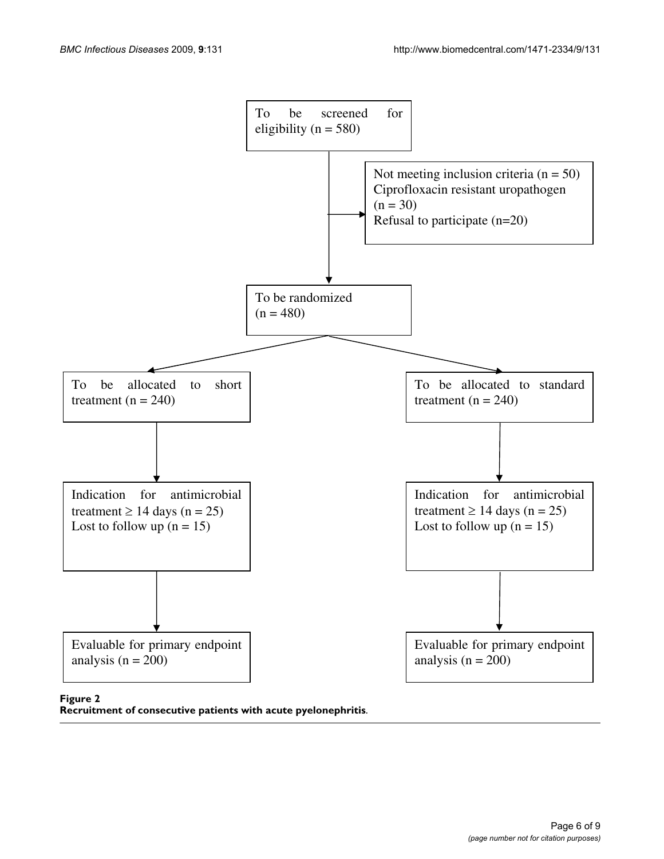

**Recruitment of consecutive patients with acute pyelonephritis**.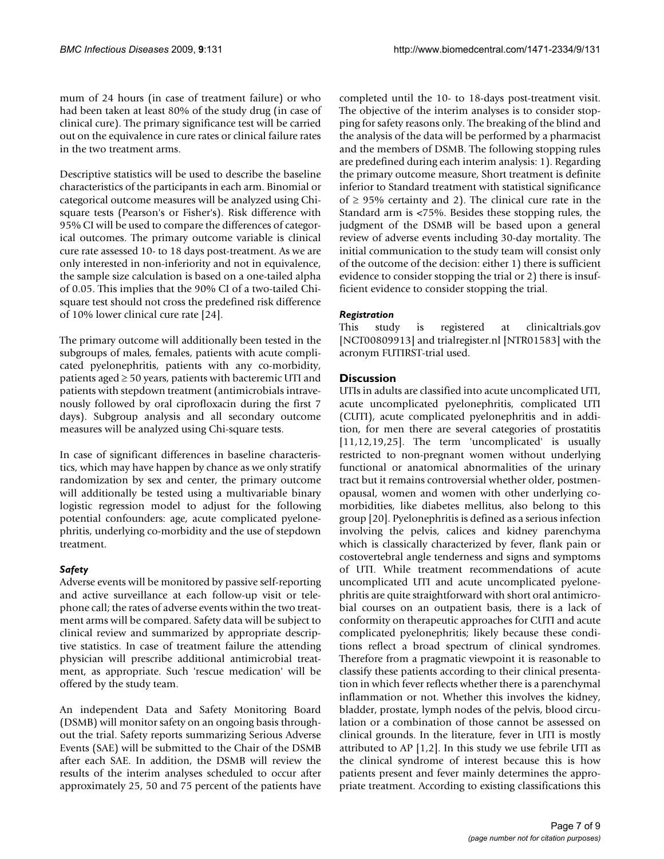mum of 24 hours (in case of treatment failure) or who had been taken at least 80% of the study drug (in case of clinical cure). The primary significance test will be carried out on the equivalence in cure rates or clinical failure rates in the two treatment arms.

Descriptive statistics will be used to describe the baseline characteristics of the participants in each arm. Binomial or categorical outcome measures will be analyzed using Chisquare tests (Pearson's or Fisher's). Risk difference with 95% CI will be used to compare the differences of categorical outcomes. The primary outcome variable is clinical cure rate assessed 10- to 18 days post-treatment. As we are only interested in non-inferiority and not in equivalence, the sample size calculation is based on a one-tailed alpha of 0.05. This implies that the 90% CI of a two-tailed Chisquare test should not cross the predefined risk difference of 10% lower clinical cure rate [24].

The primary outcome will additionally been tested in the subgroups of males, females, patients with acute complicated pyelonephritis, patients with any co-morbidity, patients aged  $\geq$  50 years, patients with bacteremic UTI and patients with stepdown treatment (antimicrobials intravenously followed by oral ciprofloxacin during the first 7 days). Subgroup analysis and all secondary outcome measures will be analyzed using Chi-square tests.

In case of significant differences in baseline characteristics, which may have happen by chance as we only stratify randomization by sex and center, the primary outcome will additionally be tested using a multivariable binary logistic regression model to adjust for the following potential confounders: age, acute complicated pyelonephritis, underlying co-morbidity and the use of stepdown treatment.

## *Safety*

Adverse events will be monitored by passive self-reporting and active surveillance at each follow-up visit or telephone call; the rates of adverse events within the two treatment arms will be compared. Safety data will be subject to clinical review and summarized by appropriate descriptive statistics. In case of treatment failure the attending physician will prescribe additional antimicrobial treatment, as appropriate. Such 'rescue medication' will be offered by the study team.

An independent Data and Safety Monitoring Board (DSMB) will monitor safety on an ongoing basis throughout the trial. Safety reports summarizing Serious Adverse Events (SAE) will be submitted to the Chair of the DSMB after each SAE. In addition, the DSMB will review the results of the interim analyses scheduled to occur after approximately 25, 50 and 75 percent of the patients have

completed until the 10- to 18-days post-treatment visit. The objective of the interim analyses is to consider stopping for safety reasons only. The breaking of the blind and the analysis of the data will be performed by a pharmacist and the members of DSMB. The following stopping rules are predefined during each interim analysis: 1). Regarding the primary outcome measure, Short treatment is definite inferior to Standard treatment with statistical significance of  $\geq$  95% certainty and 2). The clinical cure rate in the Standard arm is <75%. Besides these stopping rules, the judgment of the DSMB will be based upon a general review of adverse events including 30-day mortality. The initial communication to the study team will consist only of the outcome of the decision: either 1) there is sufficient evidence to consider stopping the trial or 2) there is insufficient evidence to consider stopping the trial.

## *Registration*

This study is registered at clinicaltrials.gov [NCT00809913] and trialregister.nl [NTR01583] with the acronym FUTIRST-trial used.

## **Discussion**

UTIs in adults are classified into acute uncomplicated UTI, acute uncomplicated pyelonephritis, complicated UTI (CUTI), acute complicated pyelonephritis and in addition, for men there are several categories of prostatitis [11,12,19,25]. The term 'uncomplicated' is usually restricted to non-pregnant women without underlying functional or anatomical abnormalities of the urinary tract but it remains controversial whether older, postmenopausal, women and women with other underlying comorbidities, like diabetes mellitus, also belong to this group [20]. Pyelonephritis is defined as a serious infection involving the pelvis, calices and kidney parenchyma which is classically characterized by fever, flank pain or costovertebral angle tenderness and signs and symptoms of UTI. While treatment recommendations of acute uncomplicated UTI and acute uncomplicated pyelonephritis are quite straightforward with short oral antimicrobial courses on an outpatient basis, there is a lack of conformity on therapeutic approaches for CUTI and acute complicated pyelonephritis; likely because these conditions reflect a broad spectrum of clinical syndromes. Therefore from a pragmatic viewpoint it is reasonable to classify these patients according to their clinical presentation in which fever reflects whether there is a parenchymal inflammation or not. Whether this involves the kidney, bladder, prostate, lymph nodes of the pelvis, blood circulation or a combination of those cannot be assessed on clinical grounds. In the literature, fever in UTI is mostly attributed to AP  $[1,2]$ . In this study we use febrile UTI as the clinical syndrome of interest because this is how patients present and fever mainly determines the appropriate treatment. According to existing classifications this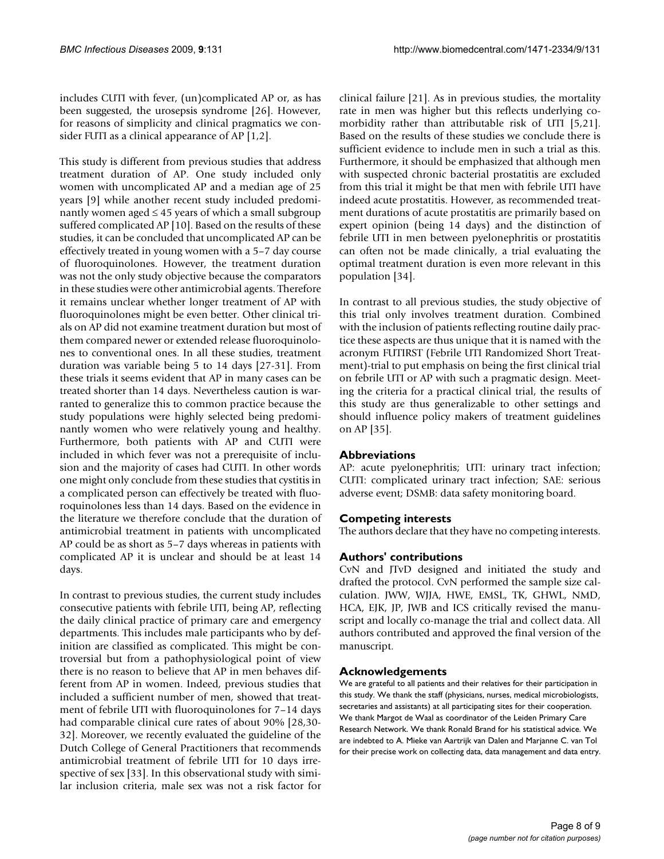includes CUTI with fever, (un)complicated AP or, as has been suggested, the urosepsis syndrome [26]. However, for reasons of simplicity and clinical pragmatics we consider FUTI as a clinical appearance of AP [1,2].

This study is different from previous studies that address treatment duration of AP. One study included only women with uncomplicated AP and a median age of 25 years [9] while another recent study included predominantly women aged  $\leq 45$  years of which a small subgroup suffered complicated AP [10]. Based on the results of these studies, it can be concluded that uncomplicated AP can be effectively treated in young women with a 5–7 day course of fluoroquinolones. However, the treatment duration was not the only study objective because the comparators in these studies were other antimicrobial agents. Therefore it remains unclear whether longer treatment of AP with fluoroquinolones might be even better. Other clinical trials on AP did not examine treatment duration but most of them compared newer or extended release fluoroquinolones to conventional ones. In all these studies, treatment duration was variable being 5 to 14 days [27-31]. From these trials it seems evident that AP in many cases can be treated shorter than 14 days. Nevertheless caution is warranted to generalize this to common practice because the study populations were highly selected being predominantly women who were relatively young and healthy. Furthermore, both patients with AP and CUTI were included in which fever was not a prerequisite of inclusion and the majority of cases had CUTI. In other words one might only conclude from these studies that cystitis in a complicated person can effectively be treated with fluoroquinolones less than 14 days. Based on the evidence in the literature we therefore conclude that the duration of antimicrobial treatment in patients with uncomplicated AP could be as short as 5–7 days whereas in patients with complicated AP it is unclear and should be at least 14 days.

In contrast to previous studies, the current study includes consecutive patients with febrile UTI, being AP, reflecting the daily clinical practice of primary care and emergency departments. This includes male participants who by definition are classified as complicated. This might be controversial but from a pathophysiological point of view there is no reason to believe that AP in men behaves different from AP in women. Indeed, previous studies that included a sufficient number of men, showed that treatment of febrile UTI with fluoroquinolones for 7–14 days had comparable clinical cure rates of about 90% [28,30- 32]. Moreover, we recently evaluated the guideline of the Dutch College of General Practitioners that recommends antimicrobial treatment of febrile UTI for 10 days irrespective of sex [33]. In this observational study with similar inclusion criteria, male sex was not a risk factor for

clinical failure [21]. As in previous studies, the mortality rate in men was higher but this reflects underlying comorbidity rather than attributable risk of UTI [5,21]. Based on the results of these studies we conclude there is sufficient evidence to include men in such a trial as this. Furthermore, it should be emphasized that although men with suspected chronic bacterial prostatitis are excluded from this trial it might be that men with febrile UTI have indeed acute prostatitis. However, as recommended treatment durations of acute prostatitis are primarily based on expert opinion (being 14 days) and the distinction of febrile UTI in men between pyelonephritis or prostatitis can often not be made clinically, a trial evaluating the optimal treatment duration is even more relevant in this population [34].

In contrast to all previous studies, the study objective of this trial only involves treatment duration. Combined with the inclusion of patients reflecting routine daily practice these aspects are thus unique that it is named with the acronym FUTIRST (Febrile UTI Randomized Short Treatment)-trial to put emphasis on being the first clinical trial on febrile UTI or AP with such a pragmatic design. Meeting the criteria for a practical clinical trial, the results of this study are thus generalizable to other settings and should influence policy makers of treatment guidelines on AP [35].

## **Abbreviations**

AP: acute pyelonephritis; UTI: urinary tract infection; CUTI: complicated urinary tract infection; SAE: serious adverse event; DSMB: data safety monitoring board.

## **Competing interests**

The authors declare that they have no competing interests.

## **Authors' contributions**

CvN and JTvD designed and initiated the study and drafted the protocol. CvN performed the sample size calculation. JWW, WJJA, HWE, EMSL, TK, GHWL, NMD, HCA, EJK, JP, JWB and ICS critically revised the manuscript and locally co-manage the trial and collect data. All authors contributed and approved the final version of the manuscript.

## **Acknowledgements**

We are grateful to all patients and their relatives for their participation in this study. We thank the staff (physicians, nurses, medical microbiologists, secretaries and assistants) at all participating sites for their cooperation. We thank Margot de Waal as coordinator of the Leiden Primary Care Research Network. We thank Ronald Brand for his statistical advice. We are indebted to A. Mieke van Aartrijk van Dalen and Marjanne C. van Tol for their precise work on collecting data, data management and data entry.